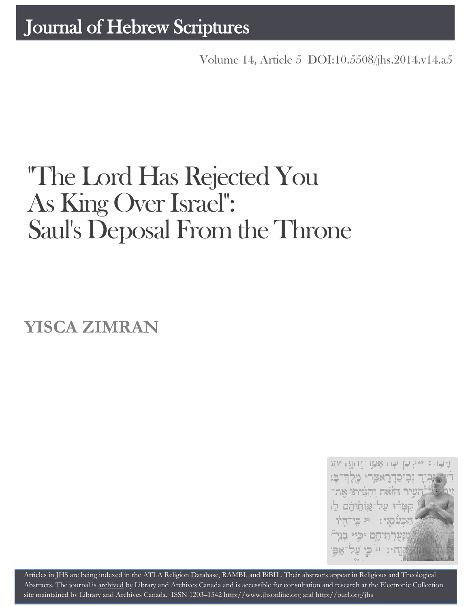Volume 14, Article 5 [DOI:10.5508/jhs.2014.v14.a5](http://dx.doi.org/10.5508/jhs.2014.v14.a5)

# "The Lord Has Rejected You As King Over Israel": Saul's Deposal From the Throne

**YISCA ZIMRAN**



Articles in JHS are being indexed in the ATLA Religion Database, [RAMBI,](http://jnul.huji.ac.il/rambi/) an[d BiBIL.](http://bibil.net/) Their abstracts appear in Religious and Theological Abstracts. The journal is [archived](http://epe.lac-bac.gc.ca/100/201/300/journal_hebrew/index.html) by Library and Archives Canada and is accessible for consultation and research at the Electronic Collection site maintained b[y Library and Archives Canada.](http://collectionscanada.ca/electroniccollection/003008-200-e.html) ISSN 1203–154[2 http://www.jhsonline.org](http://www.jhsonline.org/) and<http://purl.org/jhs>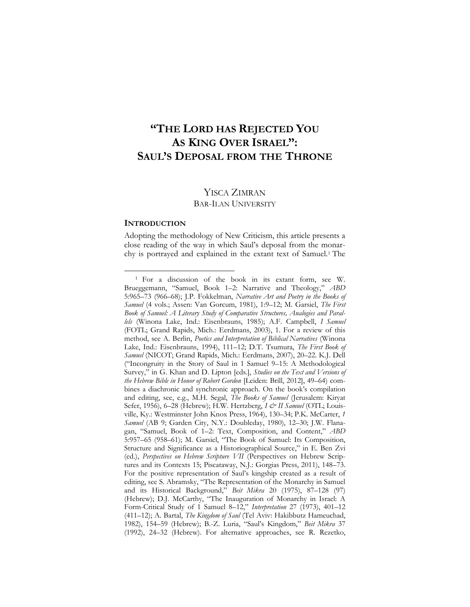## **"THE LORD HAS REJECTED YOU AS KING OVER ISRAEL": SAUL'S DEPOSAL FROM THE THRONE**

### YISCA ZIMRAN BAR-ILAN UNIVERSITY

#### **INTRODUCTION**

 $\overline{a}$ 

Adopting the methodology of New Criticism, this article presents a close reading of the way in which Saul's deposal from the monarchy is portrayed and explained in the extant text of Samuel.<sup>1</sup> The

<sup>1</sup> For a discussion of the book in its extant form, see W. Brueggemann, "Samuel, Book 1–2: Narrative and Theology," *ABD* 5:965–73 (966–68); J.P. Fokkelman, *Narrative Art and Poetry in the Books of Samuel* (4 vols.; Assen: Van Gorcum, 1981), 1:9–12; M. Garsiel, *The First Book of Samuel: A Literary Study of Comparative Structures, Analogies and Parallels* (Winona Lake, Ind.: Eisenbrauns, 1985); A.F. Campbell, *I Samuel* (FOTL; Grand Rapids, Mich.: Eerdmans, 2003), 1. For a review of this method, see A. Berlin, *Poetics and Interpretation of Biblical Narratives* (Winona Lake, Ind.: Eisenbrauns, 1994), 111–12; D.T. Tsumura, *The First Book of Samuel* (NICOT; Grand Rapids, Mich.: Eerdmans, 2007), 20–22. K.J. Dell ("Incongruity in the Story of Saul in 1 Samuel 9–15: A Methodological Survey," in G. Khan and D. Lipton [eds.], *Studies on the Text and Versions of the Hebrew Bible in Honor of Robert Gordon* [Leiden: Brill, 2012], 49–64) combines a diachronic and synchronic approach. On the book's compilation and editing, see, e.g., M.H. Segal, *The Books of Samuel* (Jerusalem: Kiryat Sefer, 1956), 6–28 (Hebrew); H.W. Hertzberg, *I & II Samuel* (OTL; Louisville, Ky.: Westminster John Knox Press, 1964), 130–34; P.K. McCarter, *1 Samuel* (AB 9; Garden City, N.Y.: Doubleday, 1980), 12–30; J.W. Flanagan, "Samuel, Book of 1–2: Text, Composition, and Content," *ABD* 5:957–65 (958–61); M. Garsiel, "The Book of Samuel: Its Composition, Structure and Significance as a Historiographical Source," in E. Ben Zvi (ed.), *Perspectives on Hebrew Scripture VII* (Perspectives on Hebrew Scriptures and its Contexts 15; Piscataway, N.J.: Gorgias Press, 2011), 148–73. For the positive representation of Saul's kingship created as a result of editing, see S. Abramsky, "The Representation of the Monarchy in Samuel and its Historical Background," *Beit Mikra* 20 (1975), 87–128 (97) (Hebrew); D.J. McCarthy, "The Inauguration of Monarchy in Israel: A Form-Critical Study of 1 Samuel 8–12," *Interpretation* 27 (1973), 401–12 (411–12); A. Bartal, *The Kingdom of Saul* (Tel Aviv: Hakibbutz Hameuchad, 1982), 154–59 (Hebrew); B.-Z. Luria, "Saul's Kingdom," *Beit Mikra* 37 (1992), 24–32 (Hebrew). For alternative approaches, see R. Rezetko,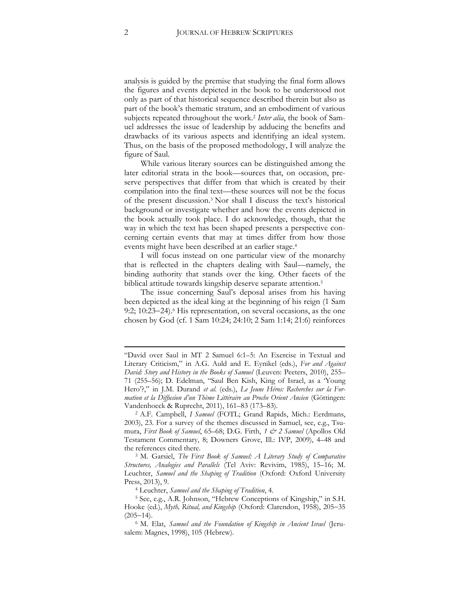analysis is guided by the premise that studying the final form allows the figures and events depicted in the book to be understood not only as part of that historical sequence described therein but also as part of the book's thematic stratum, and an embodiment of various subjects repeated throughout the work. <sup>2</sup> *Inter alia*, the book of Samuel addresses the issue of leadership by adducing the benefits and drawbacks of its various aspects and identifying an ideal system. Thus, on the basis of the proposed methodology, I will analyze the figure of Saul.

While various literary sources can be distinguished among the later editorial strata in the book—sources that, on occasion, preserve perspectives that differ from that which is created by their compilation into the final text—these sources will not be the focus of the present discussion. <sup>3</sup> Nor shall I discuss the text's historical background or investigate whether and how the events depicted in the book actually took place. I do acknowledge, though, that the way in which the text has been shaped presents a perspective concerning certain events that may at times differ from how those events might have been described at an earlier stage. 4

I will focus instead on one particular view of the monarchy that is reflected in the chapters dealing with Saul—namely, the binding authority that stands over the king. Other facets of the biblical attitude towards kingship deserve separate attention.<sup>5</sup>

The issue concerning Saul's deposal arises from his having been depicted as the ideal king at the beginning of his reign (1 Sam 9:2;  $10:23-24$ .<sup>6</sup> His representation, on several occasions, as the one chosen by God (cf. 1 Sam 10:24; 24:10; 2 Sam 1:14; 21:6) reinforces

**.** 

<sup>&</sup>quot;David over Saul in MT 2 Samuel 6:1–5: An Exercise in Textual and Literary Criticism," in A.G. Auld and E. Eynikel (eds.), *For and Against David: Story and History in the Books of Samuel* (Leuven: Peeters, 2010), 255– 71 (255–56); D. Edelman, "Saul Ben Kish, King of Israel, as a 'Young Hero'?," in J.M. Durand *et al.* (eds.), *Le Jeune Héros: Recherches sur la Formation et la Diffusion d'un Thème Littéraire au Proche Orient Ancien* (Göttingen: Vandenhoeck & Ruprecht, 2011), 161–83 (173–83).

<sup>2</sup> A.F. Campbell, *I Samuel* (FOTL; Grand Rapids, Mich.: Eerdmans, 2003), 23. For a survey of the themes discussed in Samuel, see, e.g., Tsumura, *First Book of Samuel*, 65–68; D.G. Firth, *1 & 2 Samuel* (Apollos Old Testament Commentary, 8; Downers Grove, Ill.: IVP, 2009), 4–48 and the references cited there.

<sup>3</sup> M. Garsiel, *The First Book of Samuel: A Literary Study of Comparative Structures, Analogies and Parallels* (Tel Aviv: Revivim, 1985), 15–16; M. Leuchter, *Samuel and the Shaping of Tradition* (Oxford: Oxford University Press, 2013), 9.

<sup>4</sup> Leuchter, *Samuel and the Shaping of Tradition*, 4.

<sup>5</sup> See, e.g., A.R. Johnson, "Hebrew Conceptions of Kingship," in S.H. Hooke (ed.), *Myth, Ritual, and Kingship* (Oxford: Clarendon, 1958), 205–35  $(205-14)$ .

<sup>6</sup> M. Elat, *Samuel and the Foundation of Kingship in Ancient Israel* (Jerusalem: Magnes, 1998), 105 (Hebrew).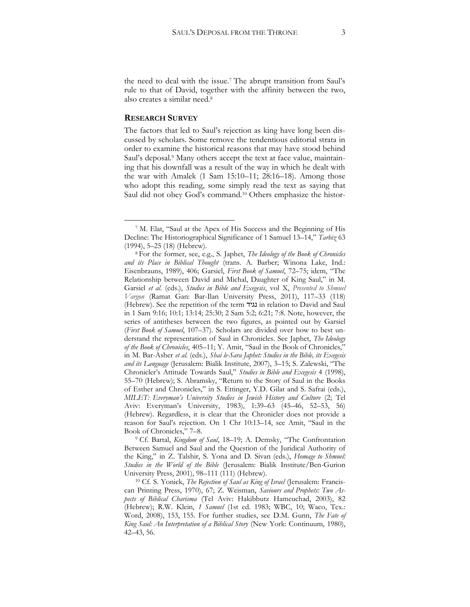the need to deal with the issue.<sup>7</sup> The abrupt transition from Saul's rule to that of David, together with the affinity between the two, also creates a similar need.<sup>8</sup>

#### **RESEARCH SURVEY**

 $\overline{a}$ 

The factors that led to Saul's rejection as king have long been discussed by scholars. Some remove the tendentious editorial strata in order to examine the historical reasons that may have stood behind Saul's deposal.<sup>9</sup> Many others accept the text at face value, maintaining that his downfall was a result of the way in which he dealt with the war with Amalek (1 Sam 15:10–11; 28:16–18). Among those who adopt this reading, some simply read the text as saying that Saul did not obey God's command.<sup>10</sup> Others emphasize the histor-

<sup>9</sup> Cf. Bartal, *Kingdom of Saul*, 18–19; A. Demsky, "The Confrontation Between Samuel and Saul and the Question of the Juridical Authority of the King," in Z. Talshir, S. Yona and D. Sivan (eds.), *Homage to Shmuel: Studies in the World of the Bible* (Jerusalem: Bialik Institute/Ben-Gurion University Press, 2001), 98–111 (111) (Hebrew).

<sup>10</sup> Cf. S. Yonick, *The Rejection of Saul as King of Israel* (Jerusalem: Franciscan Printing Press, 1970), 67; Z. Weisman, *Saviours and Prophets: Two Aspects of Biblical Charisma* (Tel Aviv: Hakibbutz Hameuchad, 2003), 82 (Hebrew); R.W. Klein, *1 Samuel* (1st ed. 1983; WBC, 10; Waco, Tex.: Word, 2008), 153, 155. For further studies, see D.M. Gunn, *The Fate of King Saul: An Interpretation of a Biblical Story* (New York: Continuum, 1980), 42–43, 56.

<sup>7</sup> M. Elat, "Saul at the Apex of His Success and the Beginning of His Decline: The Historiographical Significance of 1 Samuel 13–14," *Tarbiz* 63 (1994), 5–25 (18) (Hebrew).

<sup>8</sup> For the former, see, e.g., S. Japhet, *The Ideology of the Book of Chronicles and its Place in Biblical Thought* (trans. A. Barber; Winona Lake, Ind.: Eisenbrauns, 1989), 406; Garsiel, *First Book of Samuel*, 72–75; idem, "The Relationship between David and Michal, Daughter of King Saul," in M. Garsiel *et al*. (eds.), *Studies in Bible and Exegesis*, vol X, *Presented to Shmuel Vargon* (Ramat Gan: Bar-Ilan University Press, 2011), 117–33 (118) (Hebrew). See the repetition of the term נגיד in relation to David and Saul in 1 Sam 9:16; 10:1; 13:14; 25:30; 2 Sam 5:2; 6:21; 7:8. Note, however, the series of antitheses between the two figures, as pointed out by Garsiel (*First Book of Samuel*, 107–37). Scholars are divided over how to best understand the representation of Saul in Chronicles. See Japhet, *The Ideology of the Book of Chronicles*, 405–11; Y. Amit, "Saul in the Book of Chronicles," in M. Bar-Asher *et al.* (eds.), *Shai le-Sara Japhet: Studies in the Bible, its Exegesis and its Language* (Jerusalem: Bialik Institute, 2007), 3–15; S. Zalewski, "The Chronicler's Attitude Towards Saul," *Studies in Bible and Exegesis* 4 (1998), 55–70 (Hebrew); S. Abramsky, "Return to the Story of Saul in the Books of Esther and Chronicles," in S. Ettinger, Y.D. Gilat and S. Safrai (eds.), *MILET: Everyman's University Studies in Jewish History and Culture* (2; Tel Aviv: Everyman's University, 1983), 1:39–63 (45–46, 52–53, 56) (Hebrew). Regardless, it is clear that the Chronicler does not provide a reason for Saul's rejection. On 1 Chr 10:13–14, see Amit, "Saul in the Book of Chronicles," 7–8.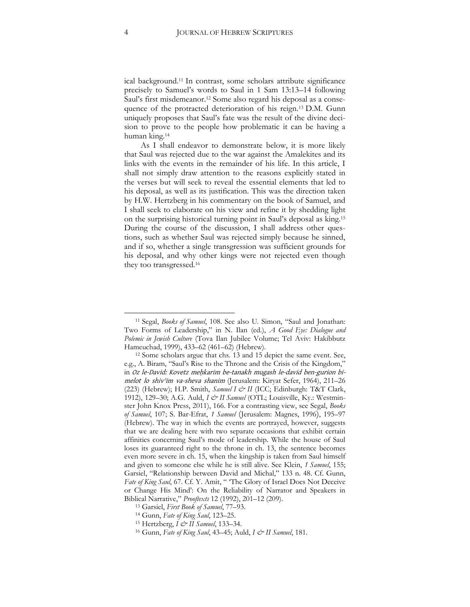ical background.<sup>11</sup> In contrast, some scholars attribute significance precisely to Samuel's words to Saul in 1 Sam 13:13–14 following Saul's first misdemeanor.<sup>12</sup> Some also regard his deposal as a consequence of the protracted deterioration of his reign.<sup>13</sup> D.M. Gunn uniquely proposes that Saul's fate was the result of the divine decision to prove to the people how problematic it can be having a human king.<sup>14</sup>

As I shall endeavor to demonstrate below, it is more likely that Saul was rejected due to the war against the Amalekites and its links with the events in the remainder of his life. In this article, I shall not simply draw attention to the reasons explicitly stated in the verses but will seek to reveal the essential elements that led to his deposal, as well as its justification. This was the direction taken by H.W. Hertzberg in his commentary on the book of Samuel, and I shall seek to elaborate on his view and refine it by shedding light on the surprising historical turning point in Saul's deposal as king. 15 During the course of the discussion, I shall address other questions, such as whether Saul was rejected simply because he sinned, and if so, whether a single transgression was sufficient grounds for his deposal, and why other kings were not rejected even though they too transgressed.<sup>16</sup>

<sup>11</sup> Segal, *Books of Samuel*, 108. See also U. Simon, "Saul and Jonathan: Two Forms of Leadership," in N. Ilan (ed.), *A Good Eye: Dialogue and Polemic in Jewish Culture* (Tova Ilan Jubilee Volume; Tel Aviv: Hakibbutz Hameuchad, 1999), 433–62 (461–62) (Hebrew).

<sup>&</sup>lt;sup>12</sup> Some scholars argue that chs. 13 and 15 depict the same event. See, e.g., A. Biram, "Saul's Rise to the Throne and the Crisis of the Kingdom," in Oz le-David: Kovetz meḥkarim be-tanakh mugash le-david ben-gurion bimelot lo shivʾim va-sheva shanim (Jerusalem: Kiryat Sefer, 1964), 211–26 (223) (Hebrew); H.P. Smith, *Samuel I & II* (ICC; Edinburgh: T&T Clark, 1912), 129–30; A.G. Auld, *I & II Samuel* (OTL; Louisville, Ky.: Westminster John Knox Press, 2011), 166. For a contrasting view, see Segal, *Books of Samuel*, 107; S. Bar-Efrat, *1 Samuel* (Jerusalem: Magnes, 1996), 195–97 (Hebrew). The way in which the events are portrayed, however, suggests that we are dealing here with two separate occasions that exhibit certain affinities concerning Saul's mode of leadership. While the house of Saul loses its guaranteed right to the throne in ch. 13, the sentence becomes even more severe in ch. 15, when the kingship is taken from Saul himself and given to someone else while he is still alive. See Klein, *1 Samuel*, 155; Garsiel, "Relationship between David and Michal," 133 n. 48. Cf. Gunn, *Fate of King Saul*, 67. Cf. Y. Amit, " 'The Glory of Israel Does Not Deceive or Change His Mind': On the Reliability of Narrator and Speakers in Biblical Narrative," *Prooftexts* 12 (1992), 201–12 (209).

<sup>13</sup> Garsiel, *First Book of Samuel*, 77–93.

<sup>14</sup> Gunn, *Fate of King Saul*, 123–25.

<sup>15</sup> Hertzberg, *I & II Samuel*, 133–34.

<sup>16</sup> Gunn, *Fate of King Saul*, 43–45; Auld, *I & II Samuel*, 181.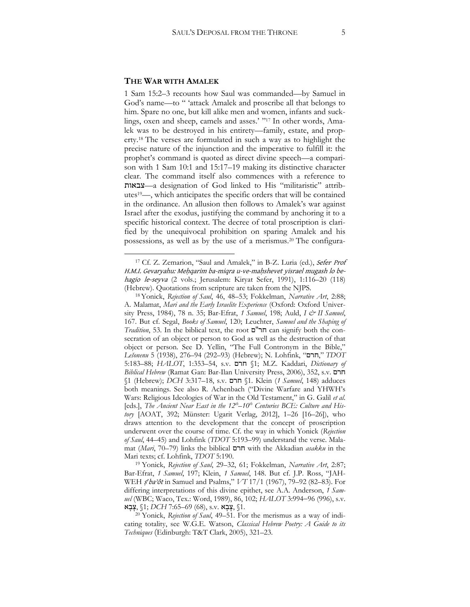#### **THE WAR WITH AMALEK**

 $\overline{a}$ 

1 Sam 15:2–3 recounts how Saul was commanded—by Samuel in God's name—to " 'attack Amalek and proscribe all that belongs to him. Spare no one, but kill alike men and women, infants and sucklings, oxen and sheep, camels and asses.' " <sup>17</sup> In other words, Amalek was to be destroyed in his entirety—family, estate, and property.<sup>18</sup> The verses are formulated in such a way as to highlight the precise nature of the injunction and the imperative to fulfill it: the prophet's command is quoted as direct divine speech—a comparison with 1 Sam 10:1 and 15:17–19 making its distinctive character clear. The command itself also commences with a reference to צבאות—a designation of God linked to His "militaristic" attributes <sup>19</sup>—, which anticipates the specific orders that will be contained in the ordinance. An allusion then follows to Amalek's war against Israel after the exodus, justifying the command by anchoring it to a specific historical context. The decree of total proscription is clarified by the unequivocal prohibition on sparing Amalek and his possessions, as well as by the use of a merismus.<sup>20</sup> The configura-

<sup>17</sup> Cf. Z. Zemarion, "Saul and Amalek," in B-Z. Luria (ed.), Sefer Prof H.M.I. Gevaryahu: Meḥqarim ba-miqra u-ve-maḥshevet yisrael mugash lo behagio le-seyva (2 vols.; Jerusalem: Kiryat Sefer, 1991), 1:116–20 (118) (Hebrew). Quotations from scripture are taken from the NJPS.

<sup>18</sup>Yonick, *Rejection of Saul*, 46, 48–53; Fokkelman, *Narrative Art*, 2:88; A. Malamat, *Mari and the Early Israelite Experience* (Oxford: Oxford University Press, 1984), 78 n. 35; Bar-Efrat, *1 Samuel*, 198; Auld, *I & II Samuel*, 167. But cf. Segal, *Books of Samuel*, 120; Leuchter, *Samuel and the Shaping of Tradition*, 53. In the biblical text, the root ם"חר can signify both the consecration of an object or person to God as well as the destruction of that object or person. See D. Yellin, "The Full Contronym in the Bible," *Lešonenu* 5 (1938), 276–94 (292–93) (Hebrew); N. Lohfink, "חרם, "*TDOT* 5:183–88; *HALOT*, 1:353–54, s.v. חרם§ 1 ;M.Z. Kaddari, *Dictionary of Biblical Hebrew* (Ramat Gan: Bar-Ilan University Press, 2006), 352, s.v. חרם §1 (Hebrew); *DCH* 3:317–18, s.v. חרם§ 1. Klein (*1 Samuel*, 148) adduces both meanings. See also R. Achenbach ("Divine Warfare and YHWH's Wars: Religious Ideologies of War in the Old Testament," in G. Galil *et al*. [eds.], *The Ancient Near East in the 12<sup>th</sup>–10<sup>th</sup> Centuries BCE: Culture and History* [AOAT, 392; Münster: Ugarit Verlag, 2012], 1–26 [16–26]), who draws attention to the development that the concept of proscription underwent over the course of time. Cf. the way in which Yonick (*Rejection of Saul*, 44–45) and Lohfink (*TDOT* 5:193–99) understand the verse. Malamat (*Mari*, 70–79) links the biblical חרם with the Akkadian *asakku* in the Mari texts; cf. Lohfink, *TDOT* 5:190.

<sup>19</sup> Yonick, *Rejection of Saul*, 29–32, 61; Fokkelman, *Narrative Art*, 2:87; Bar-Efrat, *1 Samuel*, 197; Klein, *1 Samuel*, 148. But cf. J.P. Ross, "JAH-WEH  $\mathcal{I}$  *s*<sup>*ba*</sup>'ôt in Samuel and Psalms,"  $VT$  17/1 (1967), 79–92 (82–83). For differing interpretations of this divine epithet, see A.A. Anderson, *1 Samuel* (WBC; Waco, Tex.: Word, 1989), 86, 102; *HALOT* 3:994-96 (996), s.v.  $\mathbf{X}$ צָבָא  $\mathcal{N}$ 1; DCH 7:65–69 (68), s.v.  $\mathbf{X}$ צָבָא

<sup>20</sup> Yonick, *Rejection of Saul*, 49–51. For the merismus as a way of indicating totality, see W.G.E. Watson, *Classical Hebrew Poetry: A Guide to its Techniques* )Edinburgh: T&T Clark, 2005), 321–23.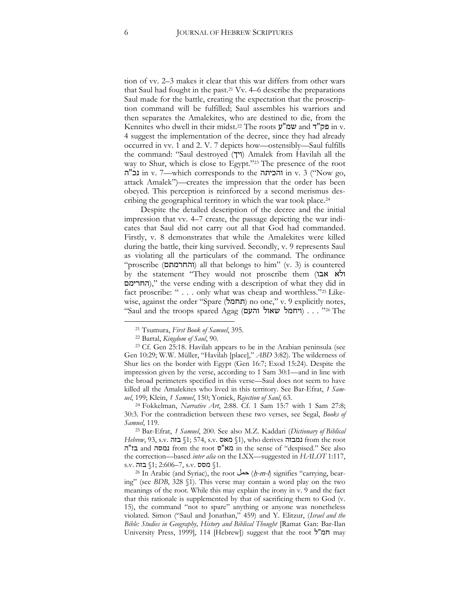tion of vv. 2–3 makes it clear that this war differs from other wars that Saul had fought in the past.<sup>21</sup> Vv. 4–6 describe the preparations Saul made for the battle, creating the expectation that the proscription command will be fulfilled; Saul assembles his warriors and then separates the Amalekites, who are destined to die, from the Kennites who dwell in their midst.<sup>22</sup> The roots ע"שמ and ד"פק in v. 4 suggest the implementation of the decree, since they had already occurred in vv. 1 and 2. V. 7 depicts how—ostensibly—Saul fulfills the command: "Saul destroyed (ויך) Amalek from Havilah all the way to Shur, which is close to Egypt."<sup>23</sup> The presence of the root ה נכ"ה in v. 7—which corresponds to the והכיתה in v. 3 ("Now go, attack Amalek")—creates the impression that the order has been obeyed. This perception is reinforced by a second merismus describing the geographical territory in which the war took place.<sup>24</sup>

Despite the detailed description of the decree and the initial impression that vv. 4–7 create, the passage depicting the war indicates that Saul did not carry out all that God had commanded. Firstly, v. 8 demonstrates that while the Amalekites were killed during the battle, their king survived. Secondly, v. 9 represents Saul as violating all the particulars of the command. The ordinance "proscribe (והחרמתם) all that belongs to him" (v. 3) is countered by the statement "They would not proscribe them (ולא אבו החרימם)," the verse ending with a description of what they did in fact proscribe: " . . . only what was cheap and worthless."<sup>25</sup> Likewise, against the order "Spare (תחמל) no one," v. 9 explicitly notes, "Saul and the troops spared Agag (ויחמל שאול והעם) . . . "26 The

 $\overline{a}$ 

<sup>25</sup> Bar-Efrat, *1 Samuel*, 200. See also M.Z. Kaddari (*Dictionary of Biblical Hebrew*, 93, s.v. בזה § 1; 574, s.v. מאס§ 1), who derives נמבזה from the root ה"בז and נמסה from the root ס"מא in the sense of "despised." See also the correction—based *inter alia* on the LXX—suggested in *HALOT* 1:117,  $s.v.$  בזה $$1; 2:606-7, s.v.$  בזה

26 In Arabic (and Syriac), the root  $\Delta \rightarrow (h-m-1)$  signifies "carrying, bearing" (see *BDB*, 328 §1). This verse may contain a word play on the two meanings of the root. While this may explain the irony in v. 9 and the fact that this rationale is supplemented by that of sacrificing them to God (v. 15), the command "not to spare" anything or anyone was nonetheless violated. Simon ("Saul and Jonathan," 459) and Y. Elitzur, (*Israel and the Bible: Studies in Geography, History and Biblical Thought* [Ramat Gan: Bar-Ilan University Press, 1999], 114 [Hebrew]) suggest that the root ל"חמ may

<sup>21</sup> Tsumura, *First Book of Samuel*, 395.

<sup>22</sup> Bartal, *Kingdom of Saul*, 90.

<sup>23</sup> Cf. Gen 25:18. Havilah appears to be in the Arabian peninsula (see Gen 10:29; W.W. Müller, "Havilah [place]," *ABD* 3:82). The wilderness of Shur lies on the border with Egypt (Gen 16:7; Exod 15:24). Despite the impression given by the verse, according to 1 Sam 30:1—and in line with the broad perimeters specified in this verse—Saul does not seem to have killed all the Amalekites who lived in this territory. See Bar-Efrat, *1 Samuel*, 199; Klein, *1 Samuel*, 150; Yonick, *Rejection of Saul*, 63.

<sup>24</sup> Fokkelman, *Narrative Art*, 2:88. Cf. 1 Sam 15:7 with 1 Sam 27:8; 30:3. For the contradiction between these two verses, see Segal, *Books of Samuel*, 119.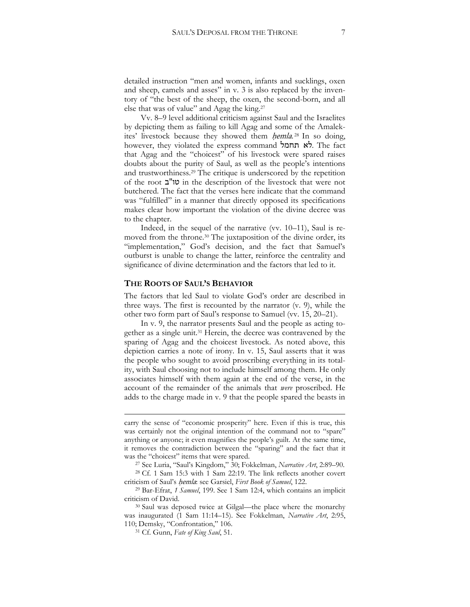detailed instruction "men and women, infants and sucklings, oxen and sheep, camels and asses" in v. 3 is also replaced by the inventory of "the best of the sheep, the oxen, the second-born, and all else that was of value" and Agag the king.<sup>27</sup>

Vv. 8–9 level additional criticism against Saul and the Israelites by depicting them as failing to kill Agag and some of the Amalekites' livestock because they showed them *hemla*.<sup>28</sup> In so doing, however, they violated the express command תחמל לא. The fact that Agag and the "choicest" of his livestock were spared raises doubts about the purity of Saul, as well as the people's intentions and trustworthiness.<sup>29</sup> The critique is underscored by the repetition of the root ב"טו in the description of the livestock that were not butchered. The fact that the verses here indicate that the command was "fulfilled" in a manner that directly opposed its specifications makes clear how important the violation of the divine decree was to the chapter.

Indeed, in the sequel of the narrative (vv. 10–11), Saul is removed from the throne.<sup>30</sup> The juxtaposition of the divine order, its "implementation," God's decision, and the fact that Samuel's outburst is unable to change the latter, reinforce the centrality and significance of divine determination and the factors that led to it.

#### **THE ROOTS OF SAUL'S BEHAVIOR**

The factors that led Saul to violate God's order are described in three ways. The first is recounted by the narrator (v. 9), while the other two form part of Saul's response to Samuel (vv. 15, 20–21).

In v. 9, the narrator presents Saul and the people as acting together as a single unit.<sup>31</sup> Herein, the decree was contravened by the sparing of Agag and the choicest livestock. As noted above, this depiction carries a note of irony. In v. 15, Saul asserts that it was the people who sought to avoid proscribing everything in its totality, with Saul choosing not to include himself among them. He only associates himself with them again at the end of the verse, in the account of the remainder of the animals that *were* proscribed. He adds to the charge made in v. 9 that the people spared the beasts in

<sup>28</sup> Cf. 1 Sam 15:3 with 1 Sam 22:19. The link reflects another covert criticism of Saul's *hemla*: see Garsiel, *First Book of Samuel*, 122.

1

carry the sense of "economic prosperity" here. Even if this is true, this was certainly not the original intention of the command not to "spare" anything or anyone; it even magnifies the people's guilt. At the same time, it removes the contradiction between the "sparing" and the fact that it was the "choicest" items that were spared.

<sup>27</sup> See Luria, "Saul's Kingdom," 30; Fokkelman, *Narrative Art*, 2:89–90.

<sup>29</sup> Bar-Efrat, *1 Samuel*, 199. See 1 Sam 12:4, which contains an implicit criticism of David.

<sup>30</sup> Saul was deposed twice at Gilgal—the place where the monarchy was inaugurated (1 Sam 11:14–15). See Fokkelman, *Narrative Art*, 2:95, 110; Demsky, "Confrontation," 106.

<sup>31</sup> Cf. Gunn, *Fate of King Saul*, 51.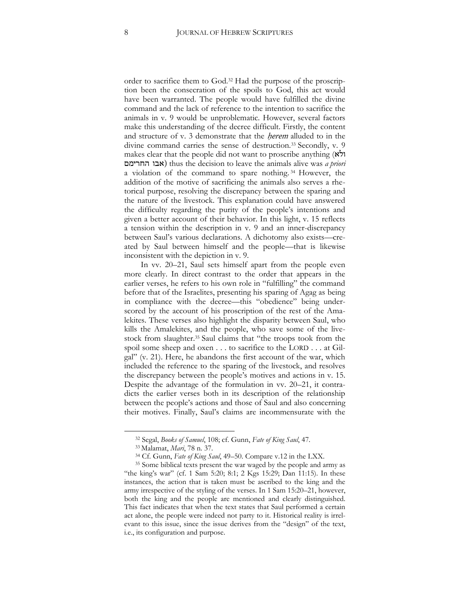order to sacrifice them to God.<sup>32</sup> Had the purpose of the proscription been the consecration of the spoils to God, this act would have been warranted. The people would have fulfilled the divine command and the lack of reference to the intention to sacrifice the animals in v. 9 would be unproblematic. However, several factors make this understanding of the decree difficult. Firstly, the content and structure of v. 3 demonstrate that the *herem* alluded to in the divine command carries the sense of destruction.<sup>33</sup> Secondly, v. 9 makes clear that the people did not want to proscribe anything (ולא החרימם אבו (thus the decision to leave the animals alive was *a priori* a violation of the command to spare nothing. <sup>34</sup> However, the addition of the motive of sacrificing the animals also serves a rhetorical purpose, resolving the discrepancy between the sparing and the nature of the livestock. This explanation could have answered the difficulty regarding the purity of the people's intentions and given a better account of their behavior. In this light, v. 15 reflects a tension within the description in v. 9 and an inner-discrepancy between Saul's various declarations. A dichotomy also exists—created by Saul between himself and the people—that is likewise inconsistent with the depiction in v. 9.

In vv. 20–21, Saul sets himself apart from the people even more clearly. In direct contrast to the order that appears in the earlier verses, he refers to his own role in "fulfilling" the command before that of the Israelites, presenting his sparing of Agag as being in compliance with the decree—this "obedience" being underscored by the account of his proscription of the rest of the Amalekites. These verses also highlight the disparity between Saul, who kills the Amalekites, and the people, who save some of the livestock from slaughter. <sup>35</sup> Saul claims that "the troops took from the spoil some sheep and oxen . . . to sacrifice to the LORD . . . at Gilgal" (v. 21). Here, he abandons the first account of the war, which included the reference to the sparing of the livestock, and resolves the discrepancy between the people's motives and actions in v. 15. Despite the advantage of the formulation in vv. 20–21, it contradicts the earlier verses both in its description of the relationship between the people's actions and those of Saul and also concerning their motives. Finally, Saul's claims are incommensurate with the

<sup>32</sup> Segal, *Books of Samuel*, 108; cf. Gunn, *Fate of King Saul*, 47.

<sup>33</sup> Malamat, *Mari*, 78 n. 37.

<sup>34</sup> Cf. Gunn, *Fate of King Saul*, 49–50. Compare v.12 in the LXX.

<sup>&</sup>lt;sup>35</sup> Some biblical texts present the war waged by the people and army as "the king's war" (cf. 1 Sam 5:20; 8:1; 2 Kgs 15:29; Dan 11:15). In these instances, the action that is taken must be ascribed to the king and the army irrespective of the styling of the verses. In 1 Sam 15:20–21, however, both the king and the people are mentioned and clearly distinguished. This fact indicates that when the text states that Saul performed a certain act alone, the people were indeed not party to it. Historical reality is irrelevant to this issue, since the issue derives from the "design" of the text, i.e., its configuration and purpose.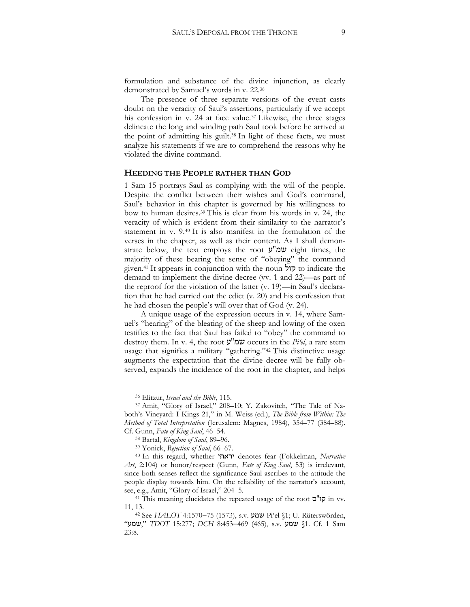formulation and substance of the divine injunction, as clearly demonstrated by Samuel's words in v. 22.<sup>36</sup>

The presence of three separate versions of the event casts doubt on the veracity of Saul's assertions, particularly if we accept his confession in v. 24 at face value.<sup>37</sup> Likewise, the three stages delineate the long and winding path Saul took before he arrived at the point of admitting his guilt.<sup>38</sup> In light of these facts, we must analyze his statements if we are to comprehend the reasons why he violated the divine command.

#### **HEEDING THE PEOPLE RATHER THAN GOD**

1 Sam 15 portrays Saul as complying with the will of the people. Despite the conflict between their wishes and God's command, Saul's behavior in this chapter is governed by his willingness to bow to human desires. <sup>39</sup> This is clear from his words in v. 24, the veracity of which is evident from their similarity to the narrator's statement in v. 9.<sup>40</sup> It is also manifest in the formulation of the verses in the chapter, as well as their content. As I shall demonstrate below, the text employs the root ע"שמ eight times, the majority of these bearing the sense of "obeying" the command given.<sup>41</sup> It appears in conjunction with the noun קול to indicate the demand to implement the divine decree (vv. 1 and 22)—as part of the reproof for the violation of the latter (v. 19)—in Saul's declaration that he had carried out the edict (v. 20) and his confession that he had chosen the people's will over that of God (v. 24).

A unique usage of the expression occurs in v. 14, where Samuel's "hearing" of the bleating of the sheep and lowing of the oxen testifies to the fact that Saul has failed to "obey" the command to destroy them. In v. 4, the root ע"שמ occurs in the *Pi*ʿ*el*, a rare stem usage that signifies a military "gathering."<sup>42</sup> This distinctive usage augments the expectation that the divine decree will be fully observed, expands the incidence of the root in the chapter, and helps

<sup>36</sup> Elitzur, *Israel and the Bible*, 115.

<sup>37</sup> Amit, "Glory of Israel," 208–10; Y. Zakovitch, "The Tale of Naboth's Vineyard: I Kings 21," in M. Weiss (ed.), *The Bible from Within: The Method of Total Interpretation* (Jerusalem: Magnes, 1984), 354–77 (384–88). Cf. Gunn, *Fate of King Saul*, 46–54.

<sup>38</sup> Bartal, *Kingdom of Saul*, 89–96.

<sup>39</sup> Yonick, *Rejection of Saul*, 66–67.

<sup>40</sup> In this regard, whether יראתי denotes fear (Fokkelman, *Narrative Art*, 2:104) or honor/respect (Gunn, *Fate of King Saul*, 53) is irrelevant, since both senses reflect the significance Saul ascribes to the attitude the people display towards him. On the reliability of the narrator's account, see, e.g., Amit, "Glory of Israel," 204–5.

<sup>41</sup> This meaning elucidates the repeated usage of the root ם"קו in vv. 11, 13.

<sup>42</sup> See *HALOT* 4:157075 (1573), s.v. שמע Piʿel §1; U. Rüterswörden, "שמע, "*TDOT* 15:277; *DCH* 8:453469 (465), s.v. שמע§ 1. Cf. 1 Sam 23:8.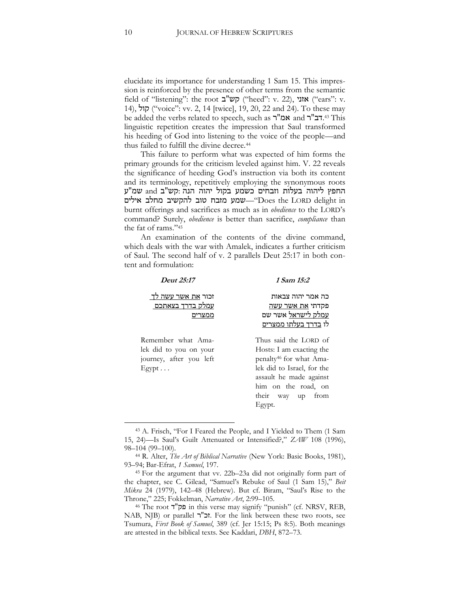elucidate its importance for understanding 1 Sam 15. This impression is reinforced by the presence of other terms from the semantic field of "listening": the root קש"ב ("heed": v. 22), אזני ("ears": v. 14), קול"( voice": vv. 2, 14 [twice], 19, 20, 22 and 24). To these may be added the verbs related to speech, such as אמ"ר and אמ"ר and רב"ר linguistic repetition creates the impression that Saul transformed his heeding of God into listening to the voice of the people—and thus failed to fulfill the divine decree.<sup>44</sup>

This failure to perform what was expected of him forms the primary grounds for the criticism leveled against him. V. 22 reveals the significance of heeding God's instruction via both its content and its terminology, repetitively employing the synonymous roots החפץ ליהוה בעלות וזבחים כשמע בקול יהוה הנה :קש"ב and שמ"ע שמע מזבח טוב להקשיב מחלב אילים—שמע מזבח טוב להקשיב מחלב אילים burnt offerings and sacrifices as much as in *obedience* to the LORD's command? Surely, *obedience* is better than sacrifice, *compliance* than the fat of rams."<sup>45</sup>

An examination of the contents of the divine command, which deals with the war with Amalek, indicates a further criticism of Saul. The second half of v. 2 parallels Deut 25:17 in both content and formulation:

| Deut 25:17                                                                          | 1 Sam 15:2                                                                                                                                                                                                 |
|-------------------------------------------------------------------------------------|------------------------------------------------------------------------------------------------------------------------------------------------------------------------------------------------------------|
| זכור <u>את אשר עשה לד</u><br><u>עמלק בדרך בצאתכם</u><br>ממצרים                      | כה אמר יהוה צבאות<br>פקדתי את אשר עשה<br><u>עמלק לישראל</u> אשר שם<br>לו <u>בדרך בעלתו ממצרים</u>                                                                                                          |
| Remember what Ama-<br>lek did to you on your<br>journey, after you left<br>$E$ gypt | Thus said the LORD of<br>Hosts: I am exacting the<br>penalty <sup>46</sup> for what Ama-<br>lek did to Israel, for the<br>assault he made against<br>him on the road, on<br>their way up<br>from<br>Egypt. |

<sup>&</sup>lt;sup>43</sup> A. Frisch, "For I Feared the People, and I Yielded to Them (1 Sam 15, 24)—Is Saul's Guilt Attenuated or Intensified?," *ZAW* 108 (1996), 98–104 (99–100).

<sup>44</sup> R. Alter, *The Art of Biblical Narrative* (New York: Basic Books, 1981), 93–94; Bar-Efrat, *1 Samuel*, 197.

<sup>45</sup> For the argument that vv. 22b–23a did not originally form part of the chapter, see C. Gilead, "Samuel's Rebuke of Saul (1 Sam 15)," *Beit Mikra* 24 (1979), 142–48 (Hebrew). But cf. Biram, "Saul's Rise to the Throne," 225; Fokkelman, *Narrative Art*, 2:99–105.

<sup>46</sup> The root ד"פק in this verse may signify "punish" )cf. NRSV, REB, NAB, NJB) or parallel ר"זכ. For the link between these two roots, see Tsumura, *First Book of Samuel*, 389 (cf. Jer 15:15; Ps 8:5). Both meanings are attested in the biblical texts. See Kaddari, *DBH*, 872–73.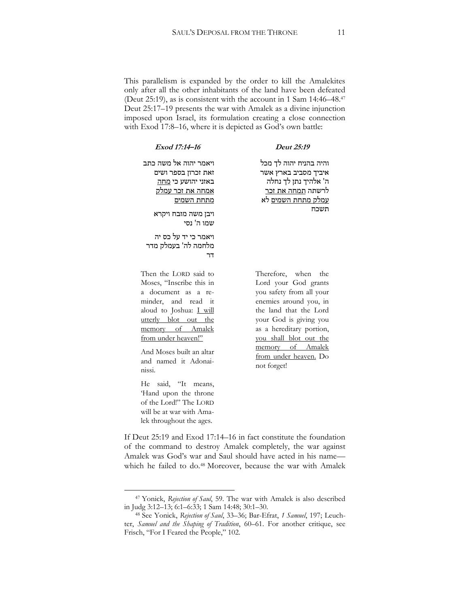This parallelism is expanded by the order to kill the Amalekites only after all the other inhabitants of the land have been defeated (Deut 25:19), as is consistent with the account in 1 Sam 14:46–48.<sup>47</sup> Deut 25:17–19 presents the war with Amalek as a divine injunction imposed upon Israel, its formulation creating a close connection with Exod 17:8–16, where it is depicted as God's own battle:

| Deut 25:19                                                                                                                                                                                                                                                              | Exod 17:14-16                                                                                                                                                                                                                                                                                   |
|-------------------------------------------------------------------------------------------------------------------------------------------------------------------------------------------------------------------------------------------------------------------------|-------------------------------------------------------------------------------------------------------------------------------------------------------------------------------------------------------------------------------------------------------------------------------------------------|
| והיה בהניח יהוה לך מכל<br>איביך מסביב בארץ אשר<br>ה' אלהיך נתן לך נחלה<br>לרשתה <u>תמחה את זכר</u><br><u>עמלק מתחת השמים</u> לא                                                                                                                                         | ויאמר יהוה אל משה כתב<br>זאת זכרון בספר ושים<br>באזני יהושע כי <u>מחה</u><br><u>אמחה את זכר עמלק</u><br>מתחת השמים                                                                                                                                                                              |
| תשכח                                                                                                                                                                                                                                                                    | ויבן משה מזבח ויקרא<br>שמו ה' נסי                                                                                                                                                                                                                                                               |
|                                                                                                                                                                                                                                                                         | ויאמר כי יד על כס יה<br>מלחמה לה' בעמלק מדר<br>דר                                                                                                                                                                                                                                               |
| Therefore, when the<br>Lord your God grants<br>you safety from all your<br>enemies around you, in<br>the land that the Lord<br>your God is giving you<br>as a hereditary portion,<br>you shall blot out the<br>memory of Amalek<br>from under heaven. Do<br>not forget! | Then the LORD said to<br>Moses, "Inscribe this in<br>a document as a re-<br>minder, and read it<br>aloud to Joshua: <i>L</i> will<br>utterly blot out the<br>memory of Amalek<br>from under heaven!"<br>And Moses built an altar<br>and named it Adonai-<br>nissi.<br>said, "It<br>He<br>means, |
|                                                                                                                                                                                                                                                                         | 'Hand upon the throne<br>of the Lord!" The LORD                                                                                                                                                                                                                                                 |

If Deut 25:19 and Exod 17:14–16 in fact constitute the foundation of the command to destroy Amalek completely, the war against Amalek was God's war and Saul should have acted in his name which he failed to do.<sup>48</sup> Moreover, because the war with Amalek

will be at war with Amalek throughout the ages.

<sup>47</sup> Yonick, *Rejection of Saul*, 59. The war with Amalek is also described in Judg 3:12–13; 6:1–6:33; 1 Sam 14:48; 30:1–30.

<sup>48</sup> See Yonick, *Rejection of Saul*, 33–36; Bar-Efrat, *1 Samuel*, 197; Leuchter, *Samuel and the Shaping of Tradition*, 60–61. For another critique, see Frisch, "For I Feared the People," 102.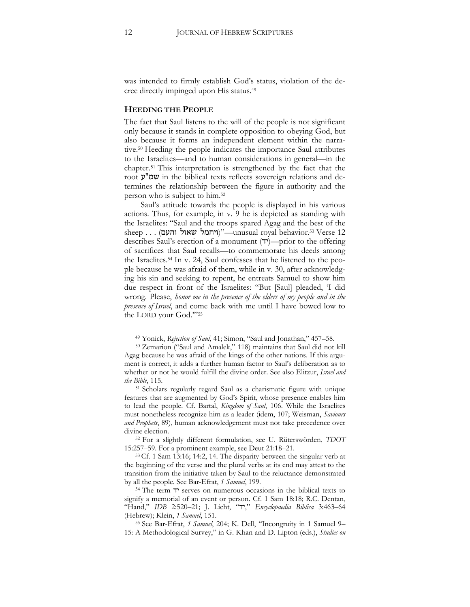was intended to firmly establish God's status, violation of the decree directly impinged upon His status.<sup>49</sup>

#### **HEEDING THE PEOPLE**

The fact that Saul listens to the will of the people is not significant only because it stands in complete opposition to obeying God, but also because it forms an independent element within the narrative.<sup>50</sup> Heeding the people indicates the importance Saul attributes to the Israelites—and to human considerations in general—in the chapter.<sup>51</sup> This interpretation is strengthened by the fact that the root  $\mathcal{Y}$  in the biblical texts reflects sovereign relations and determines the relationship between the figure in authority and the person who is subject to him.<sup>52</sup>

Saul's attitude towards the people is displayed in his various actions. Thus, for example, in v. 9 he is depicted as standing with the Israelites: "Saul and the troops spared Agag and the best of the sheep . . . (ויחמל שאול והעם) (וייחמל שאול  $\ldots$  (ויחמל שאול describes Saul's erection of a monument  $(\tau)$ —prior to the offering of sacrifices that Saul recalls—to commemorate his deeds among the Israelites.<sup>54</sup> In v. 24, Saul confesses that he listened to the people because he was afraid of them, while in v. 30, after acknowledging his sin and seeking to repent, he entreats Samuel to show him due respect in front of the Israelites: "But [Saul] pleaded, 'I did wrong. Please, *honor me in the presence of the elders of my people and in the presence of Israel*, and come back with me until I have bowed low to the LORD your God.'"<sup>55</sup>

<sup>49</sup> Yonick, *Rejection of Saul*, 41; Simon, "Saul and Jonathan," 457–58.

<sup>&</sup>lt;sup>50</sup> Zemarion ("Saul and Amalek," 118) maintains that Saul did not kill Agag because he was afraid of the kings of the other nations. If this argument is correct, it adds a further human factor to Saul's deliberation as to whether or not he would fulfill the divine order. See also Elitzur, *Israel and the Bible*, 115.

<sup>51</sup> Scholars regularly regard Saul as a charismatic figure with unique features that are augmented by God's Spirit, whose presence enables him to lead the people. Cf. Bartal, *Kingdom of Saul*, 106. While the Israelites must nonetheless recognize him as a leader (idem, 107; Weisman, *Saviours and Prophets*, 89), human acknowledgement must not take precedence over divine election.

<sup>52</sup> For a slightly different formulation, see U. Rüterswörden, *TDOT* 15:257–59. For a prominent example, see Deut 21:18–21.

<sup>53</sup> Cf. 1 Sam 13:16; 14:2, 14. The disparity between the singular verb at the beginning of the verse and the plural verbs at its end may attest to the transition from the initiative taken by Saul to the reluctance demonstrated by all the people. See Bar-Efrat, *1 Samuel*, 199.

<sup>54</sup> The term יד serves on numerous occasions in the biblical texts to signify a memorial of an event or person. Cf. 1 Sam 18:18; R.C. Dentan, "Hand," *IDB* 2:520–21; J. Licht, "יד, "*Encyclopaedia Biblica* 3:463–64 (Hebrew); Klein, *1 Samuel*, 151.

<sup>55</sup> See Bar-Efrat, *1 Samuel*, 204; K. Dell, "Incongruity in 1 Samuel 9– 15: A Methodological Survey," in G. Khan and D. Lipton (eds.), *Studies on*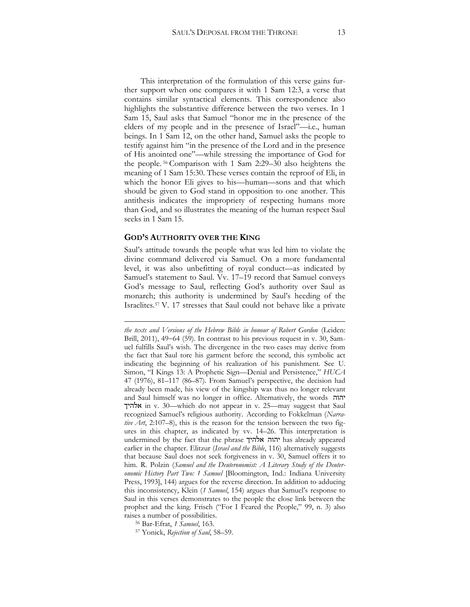This interpretation of the formulation of this verse gains further support when one compares it with 1 Sam 12:3, a verse that contains similar syntactical elements. This correspondence also highlights the substantive difference between the two verses. In 1 Sam 15, Saul asks that Samuel "honor me in the presence of the elders of my people and in the presence of Israel"—i.e., human beings. In 1 Sam 12, on the other hand, Samuel asks the people to testify against him "in the presence of the Lord and in the presence of His anointed one"—while stressing the importance of God for the people. <sup>56</sup> Comparison with 1 Sam 2:29–30 also heightens the meaning of 1 Sam 15:30. These verses contain the reproof of Eli, in which the honor Eli gives to his—human—sons and that which should be given to God stand in opposition to one another. This antithesis indicates the impropriety of respecting humans more than God, and so illustrates the meaning of the human respect Saul seeks in 1 Sam 15.

#### **GOD'S AUTHORITY OVER THE KING**

**.** 

Saul's attitude towards the people what was led him to violate the divine command delivered via Samuel. On a more fundamental level, it was also unbefitting of royal conduct—as indicated by Samuel's statement to Saul. Vv. 17–19 record that Samuel conveys God's message to Saul, reflecting God's authority over Saul as monarch; this authority is undermined by Saul's heeding of the Israelites.<sup>57</sup> V. 17 stresses that Saul could not behave like a private

*the texts and Versions of the Hebrew Bible in honour of Robert Gordon* (Leiden: Brill, 2011), 49-64 (59). In contrast to his previous request in v. 30, Samuel fulfills Saul's wish. The divergence in the two cases may derive from the fact that Saul tore his garment before the second, this symbolic act indicating the beginning of his realization of his punishment. See U. Simon, "I Kings 13: A Prophetic Sign—Denial and Persistence," *HUCA* 47 (1976), 81–117 (86–87). From Samuel's perspective, the decision had already been made, his view of the kingship was thus no longer relevant and Saul himself was no longer in office. Alternatively, the words יהוה אלהיך in v. 30—which do not appear in v. 25—may suggest that Saul recognized Samuel's religious authority. According to Fokkelman (*Narrative Art*, 2:107–8), this is the reason for the tension between the two figures in this chapter, as indicated by vv. 14–26. This interpretation is undermined by the fact that the phrase אלהיך יהוה has already appeared earlier in the chapter. Elitzur (*Israel and the Bible*, 116) alternatively suggests that because Saul does not seek forgiveness in v. 30, Samuel offers it to him. R. Polzin (*Samuel and the Deuteronomist: A Literary Study of the Deuteronomic History Part Two: 1 Samuel* [Bloomington, Ind.: Indiana University Press, 1993], 144) argues for the reverse direction. In addition to adducing this inconsistency, Klein (1 Samuel, 154) argues that Samuel's response to Saul in this verses demonstrates to the people the close link between the prophet and the king. Frisch ("For I Feared the People," 99, n. 3) also raises a number of possibilities.

<sup>56</sup> Bar-Efrat, *1 Samuel*, 163.

<sup>57</sup> Yonick, *Rejection of Saul*, 58–59.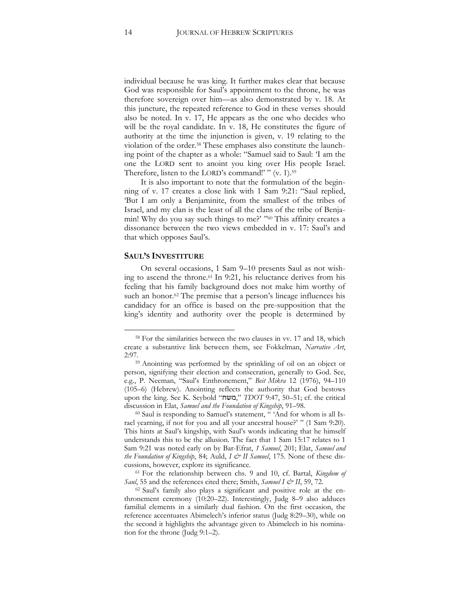individual because he was king. It further makes clear that because God was responsible for Saul's appointment to the throne, he was therefore sovereign over him—as also demonstrated by v. 18. At this juncture, the repeated reference to God in these verses should also be noted. In v. 17, He appears as the one who decides who will be the royal candidate. In v. 18, He constitutes the figure of authority at the time the injunction is given, v. 19 relating to the violation of the order.<sup>58</sup> These emphases also constitute the launching point of the chapter as a whole: "Samuel said to Saul: 'I am the one the LORD sent to anoint you king over His people Israel. Therefore, listen to the LORD's command!' " (v. 1).<sup>59</sup>

It is also important to note that the formulation of the beginning of v. 17 creates a close link with 1 Sam 9:21: "Saul replied, 'But I am only a Benjaminite, from the smallest of the tribes of Israel, and my clan is the least of all the clans of the tribe of Benjamin! Why do you say such things to me?' "60 This affinity creates a dissonance between the two views embedded in v. 17: Saul's and that which opposes Saul's.

#### **SAUL'S INVESTITURE**

 $\overline{a}$ 

On several occasions, 1 Sam 9–10 presents Saul as not wishing to ascend the throne.<sup>61</sup> In 9:21, his reluctance derives from his feeling that his family background does not make him worthy of such an honor.<sup>62</sup> The premise that a person's lineage influences his candidacy for an office is based on the pre-supposition that the king's identity and authority over the people is determined by

<sup>60</sup> Saul is responding to Samuel's statement, " 'And for whom is all Israel yearning, if not for you and all your ancestral house?' " (1 Sam 9:20). This hints at Saul's kingship, with Saul's words indicating that he himself understands this to be the allusion. The fact that 1 Sam 15:17 relates to 1 Sam 9:21 was noted early on by Bar-Efrat, *1 Samuel*, 201; Elat, *Samuel and the Foundation of Kingship*, 84; Auld, *I & II Samuel*, 175. None of these discussions, however, explore its significance.

<sup>61</sup> For the relationship between chs. 9 and 10, cf. Bartal, *Kingdom of Saul*, 55 and the references cited there; Smith, *Samuel I & II*, 59, 72.

<sup>62</sup> Saul's family also plays a significant and positive role at the enthronement ceremony (10:20–22). Interestingly, Judg 8–9 also adduces familial elements in a similarly dual fashion. On the first occasion, the reference accentuates Abimelech's inferior status (Judg 8:29–30), while on the second it highlights the advantage given to Abimelech in his nomination for the throne (Judg 9:1–2).

<sup>58</sup> For the similarities between the two clauses in vv. 17 and 18, which create a substantive link between them, see Fokkelman, *Narrative Art*, 2:97.

<sup>59</sup> Anointing was performed by the sprinkling of oil on an object or person, signifying their election and consecration, generally to God. See, e.g., P. Neeman, "Saul's Enthronement," *Beit Mikra* 12 (1976), 94–110 (105–6) (Hebrew). Anointing reflects the authority that God bestows upon the king. See K. Seybold "משח, "*TDOT* 9:47, 50–51; cf. the critical discussion in Elat, *Samuel and the Foundation of Kingship*, 91–98.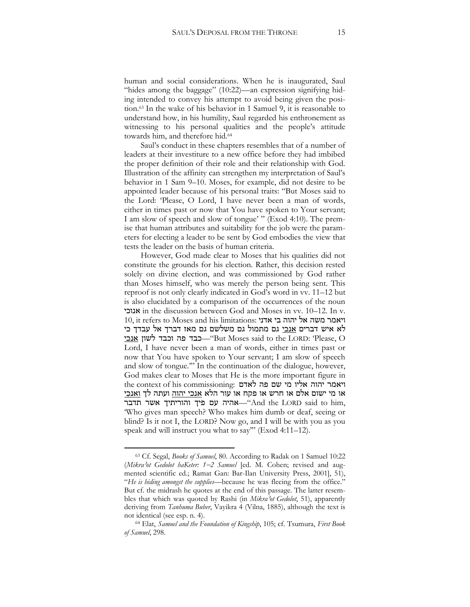human and social considerations. When he is inaugurated, Saul "hides among the baggage"  $(10:22)$ —an expression signifying hiding intended to convey his attempt to avoid being given the position.<sup>63</sup> In the wake of his behavior in 1 Samuel 9, it is reasonable to understand how, in his humility, Saul regarded his enthronement as witnessing to his personal qualities and the people's attitude towards him, and therefore hid.<sup>64</sup>

Saul's conduct in these chapters resembles that of a number of leaders at their investiture to a new office before they had imbibed the proper definition of their role and their relationship with God. Illustration of the affinity can strengthen my interpretation of Saul's behavior in 1 Sam 9–10. Moses, for example, did not desire to be appointed leader because of his personal traits: "But Moses said to the Lord: 'Please, O Lord, I have never been a man of words, either in times past or now that You have spoken to Your servant; I am slow of speech and slow of tongue' " (Exod 4:10). The premise that human attributes and suitability for the job were the parameters for electing a leader to be sent by God embodies the view that tests the leader on the basis of human criteria.

However, God made clear to Moses that his qualities did not constitute the grounds for his election. Rather, this decision rested solely on divine election, and was commissioned by God rather than Moses himself, who was merely the person being sent. This reproof is not only clearly indicated in God's word in vv. 11–12 but is also elucidated by a comparison of the occurrences of the noun אנוכי in the discussion between God and Moses in vv. 10–12. In v. 10, it refers to Moses and his limitations: אדני בי יהוה אל משה ויאמר לא איש דברים <u>אנכי</u> גם מתמול גם משלשם גם מאז דברך אל עבדך כי אנ<u>כי ל</u>שון אנכי "But Moses said to the LORD: 'Please, O Lord, I have never been a man of words, either in times past or now that You have spoken to Your servant; I am slow of speech and slow of tongue.'" In the continuation of the dialogue, however, God makes clear to Moses that He is the more important figure in ויאמר יהוה אליו מי שם פה לאדם :the context of his commissioning או מי ישום אלם או חרש או פקח או עור הלא <u>אנכי יהוה</u> ועתה לך <u>ואנכי</u> אהיה עם פיך והוריתיך אשר תדבר $\cdot$ "And the LORD said to him, 'Who gives man speech? Who makes him dumb or deaf, seeing or blind? Is it not I, the LORD? Now go, and I will be with you as you speak and will instruct you what to say"' (Exod 4:11-12).

<sup>63</sup> Cf. Segal, *Books of Samuel*, 80. According to Radak on 1 Samuel 10:22 (*Mikra*ʾ*ot Gedolot haKeter: 12 Samuel* [ed. M. Cohen; revised and augmented scientific ed.; Ramat Gan: Bar-Ilan University Press, 2001], 51), "*He is hiding amongst the supplies*—because he was fleeing from the office." But cf. the midrash he quotes at the end of this passage. The latter resembles that which was quoted by Rashi (in *Mikra*ʾ*ot Gedolot*, 51), apparently deriving from *Tanhuma Buber*, Vayikra 4 (Vilna, 1885), although the text is not identical (see esp. n. 4).

<sup>64</sup> Elat, *Samuel and the Foundation of Kingship*, 105; cf. Tsumura, *First Book of Samuel*, 298.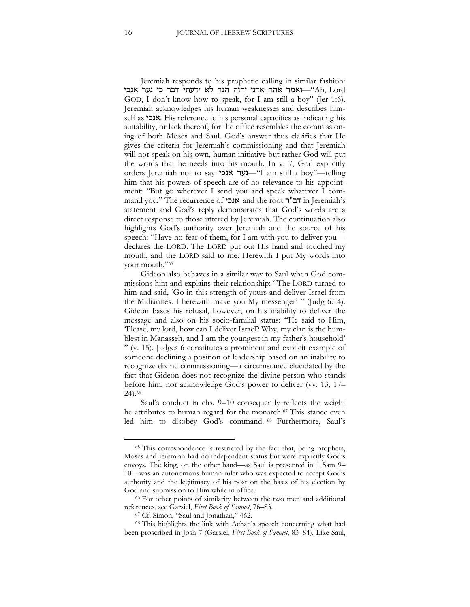Jeremiah responds to his prophetic calling in similar fashion: אמר אהה אדני יהוה הנה לא ידעתי דבר כי נער אנכי-"Ah, Lord GOD, I don't know how to speak, for I am still a boy" (Jer 1:6). Jeremiah acknowledges his human weaknesses and describes himself as אנכי. His reference to his personal capacities as indicating his suitability, or lack thereof, for the office resembles the commissioning of both Moses and Saul. God's answer thus clarifies that He gives the criteria for Jeremiah's commissioning and that Jeremiah will not speak on his own, human initiative but rather God will put the words that he needs into his mouth. In v. 7, God explicitly orders Jeremiah not to say אנכי נער"—I am still a boy"—telling him that his powers of speech are of no relevance to his appointment: "But go wherever I send you and speak whatever I command you." The recurrence of אנכי and the root ר"דב in Jeremiah's statement and God's reply demonstrates that God's words are a direct response to those uttered by Jeremiah. The continuation also highlights God's authority over Jeremiah and the source of his speech: "Have no fear of them, for I am with you to deliver you declares the LORD. The LORD put out His hand and touched my mouth, and the LORD said to me: Herewith I put My words into your mouth."<sup>65</sup>

Gideon also behaves in a similar way to Saul when God commissions him and explains their relationship: "The LORD turned to him and said, 'Go in this strength of yours and deliver Israel from the Midianites. I herewith make you My messenger' " (Judg 6:14). Gideon bases his refusal, however, on his inability to deliver the message and also on his socio-familial status: "He said to Him, 'Please, my lord, how can I deliver Israel? Why, my clan is the humblest in Manasseh, and I am the youngest in my father's household' " (v. 15). Judges 6 constitutes a prominent and explicit example of someone declining a position of leadership based on an inability to recognize divine commissioning—a circumstance elucidated by the fact that Gideon does not recognize the divine person who stands before him, nor acknowledge God's power to deliver (vv. 13, 17– 24).<sup>66</sup>

Saul's conduct in chs. 9–10 consequently reflects the weight he attributes to human regard for the monarch.<sup>67</sup> This stance even led him to disobey God's command. <sup>68</sup> Furthermore, Saul's

<sup>&</sup>lt;sup>65</sup> This correspondence is restricted by the fact that, being prophets, Moses and Jeremiah had no independent status but were explicitly God's envoys. The king, on the other hand—as Saul is presented in 1 Sam 9– 10—was an autonomous human ruler who was expected to accept God's authority and the legitimacy of his post on the basis of his election by God and submission to Him while in office.

<sup>66</sup> For other points of similarity between the two men and additional references, see Garsiel, *First Book of Samuel*, 76–83.

<sup>67</sup> Cf. Simon, "Saul and Jonathan," 462.

<sup>68</sup> This highlights the link with Achan's speech concerning what had been proscribed in Josh 7 (Garsiel, *First Book of Samuel*, 83–84). Like Saul,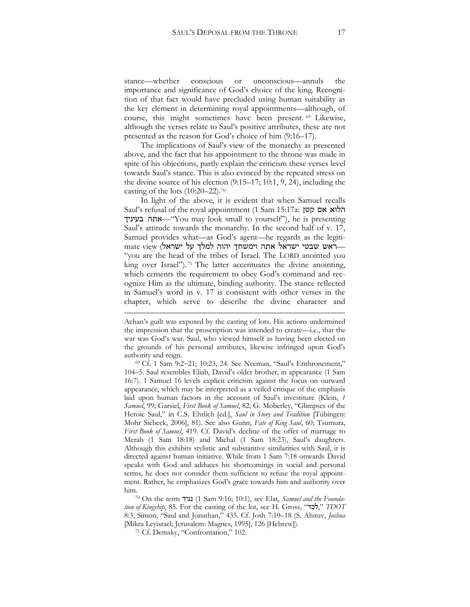stance—whether conscious or unconscious—annuls the importance and significance of God's choice of the king. Recognition of that fact would have precluded using human suitability as the key element in determining royal appointments—although, of course, this might sometimes have been present. <sup>69</sup> Likewise, although the verses relate to Saul's positive attributes, these are not presented as the reason for God's choice of him (9:16–17).

The implications of Saul's view of the monarchy as presented above, and the fact that his appointment to the throne was made in spite of his objections, partly explain the criticism these verses level towards Saul's stance. This is also evinced by the repeated stress on the divine source of his election (9:15–17; 10:1, 9, 24), including the casting of the lots (10:20–22).<sup>70</sup>

In light of the above, it is evident that when Samuel recalls Saul's refusal of the royal appointment )1 Sam 15:17a: קטן אם הלוא בעיניך אתה"—You may look small to yourself"), he is presenting Saul's attitude towards the monarchy. In the second half of v. 17, Samuel provides what—as God's agent—he regards as the legitimate view (ישראל התה וימשחך יהוה למלך על ישראל אתה ישראל את "you are the head of the tribes of Israel. The LORD anointed you king over Israel").<sup>71</sup> The latter accentuates the divine anointing, which cements the requirement to obey God's command and recognize Him as the ultimate, binding authority. The stance reflected in Samuel's word in v. 17 is consistent with other verses in the chapter, which serve to describe the divine character and

1

Achan's guilt was exposed by the casting of lots. His actions undermined the impression that the proscription was intended to create—i.e., that the war was God's war. Saul, who viewed himself as having been elected on the grounds of his personal attributes, likewise infringed upon God's authority and reign.

<sup>&</sup>lt;sup>69</sup> Cf. 1 Sam 9:2-21; 10:23, 24. See Neeman, "Saul's Enthronement," 104–5. Saul resembles Eliab, David's older brother, in appearance (1 Sam 16:7). 1 Samuel 16 levels explicit criticism against the focus on outward appearance, which may be interpreted as a veiled critique of the emphasis laid upon human factors in the account of Saul's investiture (Klein, *1 Samuel*, 99; Garsiel, *First Book of Samuel*, 82; G. Moberley, "Glimpses of the Heroic Saul," in C.S. Ehrlich [ed.], *Saul in Story and Tradition* [Tübingen: Mohr Siebeck, 2006], 81). See also Gunn, *Fate of King Saul*, 60; Tsumura, *First Book of Samuel*, 419. Cf. David's decline of the offer of marriage to Merab (1 Sam 18:18) and Michal (1 Sam 18:23), Saul's daughters. Although this exhibits stylistic and substantive similarities with Saul, it is directed against human initiative. While from 1 Sam 7:18 onwards David speaks with God and adduces his shortcomings in social and personal terms, he does not consider them sufficient to refuse the royal appointment. Rather, he emphasizes God's grace towards him and authority over him.

<sup>70</sup> On the term נגיד) 1 Sam 9:16; 10:1), see Elat, *Samuel and the Foundation of Kingship*, 85. For the casting of the lot, see H. Gross, "ל**כד**", *TDOT* 8:3; Simon, "Saul and Jonathan," 435. Cf. Josh 7:10–18 (S. Ahituv, *Joshua* [Mikra Leyisrael; Jerusalem: Magnes, 1995], 126 [Hebrew]).

<sup>71</sup> Cf. Demsky, "Confrontation," 102.